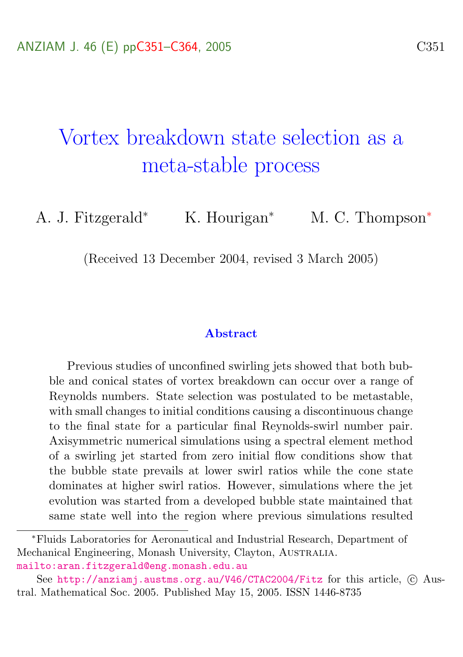# <span id="page-0-0"></span>Vortex breakdown state selection as a meta-stable process

A. J. Fitzgerald<sup>∗</sup> K. Hourigan<sup>∗</sup> M. C. Thompson<sup>∗</sup>

(Received 13 December 2004, revised 3 March 2005)

#### Abstract

Previous studies of unconfined swirling jets showed that both bubble and conical states of vortex breakdown can occur over a range of Reynolds numbers. State selection was postulated to be metastable, with small changes to initial conditions causing a discontinuous change to the final state for a particular final Reynolds-swirl number pair. Axisymmetric numerical simulations using a spectral element method of a swirling jet started from zero initial flow conditions show that the bubble state prevails at lower swirl ratios while the cone state dominates at higher swirl ratios. However, simulations where the jet evolution was started from a developed bubble state maintained that same state well into the region where previous simulations resulted

<sup>∗</sup>Fluids Laboratories for Aeronautical and Industrial Research, Department of Mechanical Engineering, Monash University, Clayton, Australia. <mailto:aran.fitzgerald@eng.monash.edu.au>

See <http://anziamj.austms.org.au/V46/CTAC2004/Fitz> for this article, © Austral. Mathematical Soc. 2005. Published May 15, 2005. ISSN 1446-8735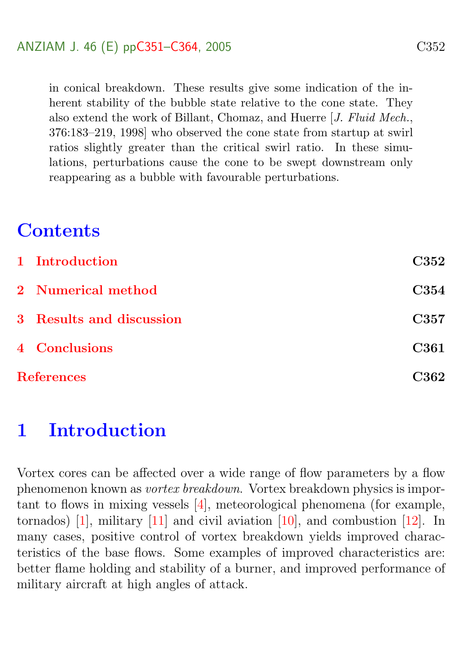<span id="page-1-1"></span>in conical breakdown. These results give some indication of the inherent stability of the bubble state relative to the cone state. They also extend the work of Billant, Chomaz, and Huerre [J. Fluid Mech., 376:183–219, 1998] who observed the cone state from startup at swirl ratios slightly greater than the critical swirl ratio. In these simulations, perturbations cause the cone to be swept downstream only reappearing as a bubble with favourable perturbations.

# **Contents**

|                   | 1 Introduction           | <b>C352</b>      |
|-------------------|--------------------------|------------------|
|                   | 2 Numerical method       | C <sub>354</sub> |
|                   | 3 Results and discussion | <b>C357</b>      |
|                   | <b>4</b> Conclusions     | <b>C361</b>      |
| <b>References</b> |                          | C362             |

## <span id="page-1-0"></span>1 Introduction

Vortex cores can be affected over a wide range of flow parameters by a flow phenomenon known as vortex breakdown. Vortex breakdown physics is important to flows in mixing vessels [\[4\]](#page-12-0), meteorological phenomena (for example, tornados) [\[1\]](#page-11-1), military  $[11]$  and civil aviation  $[10]$ , and combustion  $[12]$ . In many cases, positive control of vortex breakdown yields improved characteristics of the base flows. Some examples of improved characteristics are: better flame holding and stability of a burner, and improved performance of military aircraft at high angles of attack.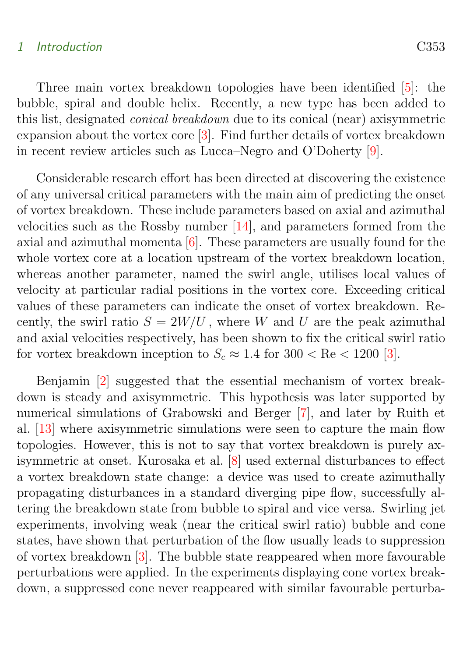#### <span id="page-2-0"></span>1 Introduction C353

Three main vortex breakdown topologies have been identified [\[5\]](#page-12-4): the bubble, spiral and double helix. Recently, a new type has been added to this list, designated conical breakdown due to its conical (near) axisymmetric expansion about the vortex core [\[3\]](#page-12-5). Find further details of vortex breakdown in recent review articles such as Lucca–Negro and O'Doherty [\[9\]](#page-12-6).

Considerable research effort has been directed at discovering the existence of any universal critical parameters with the main aim of predicting the onset of vortex breakdown. These include parameters based on axial and azimuthal velocities such as the Rossby number [\[14\]](#page-13-0), and parameters formed from the axial and azimuthal momenta [\[6\]](#page-12-7). These parameters are usually found for the whole vortex core at a location upstream of the vortex breakdown location, whereas another parameter, named the swirl angle, utilises local values of velocity at particular radial positions in the vortex core. Exceeding critical values of these parameters can indicate the onset of vortex breakdown. Recently, the swirl ratio  $S = 2W/U$ , where W and U are the peak azimuthal and axial velocities respectively, has been shown to fix the critical swirl ratio for vortex breakdown inception to  $S_c \approx 1.4$  for  $300 < \text{Re} < 1200$  [\[3\]](#page-12-5).

Benjamin [\[2\]](#page-11-2) suggested that the essential mechanism of vortex breakdown is steady and axisymmetric. This hypothesis was later supported by numerical simulations of Grabowski and Berger [\[7\]](#page-12-8), and later by Ruith et al. [\[13\]](#page-13-1) where axisymmetric simulations were seen to capture the main flow topologies. However, this is not to say that vortex breakdown is purely axisymmetric at onset. Kurosaka et al. [\[8\]](#page-12-9) used external disturbances to effect a vortex breakdown state change: a device was used to create azimuthally propagating disturbances in a standard diverging pipe flow, successfully altering the breakdown state from bubble to spiral and vice versa. Swirling jet experiments, involving weak (near the critical swirl ratio) bubble and cone states, have shown that perturbation of the flow usually leads to suppression of vortex breakdown [\[3\]](#page-12-5). The bubble state reappeared when more favourable perturbations were applied. In the experiments displaying cone vortex breakdown, a suppressed cone never reappeared with similar favourable perturba-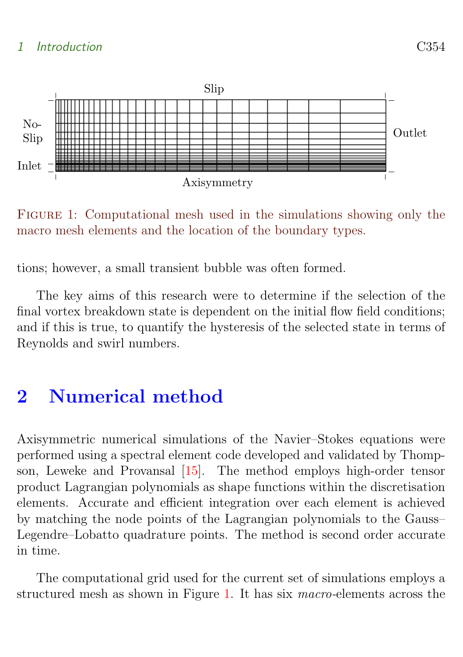### <span id="page-3-2"></span>1 Introduction C354



<span id="page-3-1"></span>Figure 1: Computational mesh used in the simulations showing only the macro mesh elements and the location of the boundary types.

tions; however, a small transient bubble was often formed.

The key aims of this research were to determine if the selection of the final vortex breakdown state is dependent on the initial flow field conditions; and if this is true, to quantify the hysteresis of the selected state in terms of Reynolds and swirl numbers.

# <span id="page-3-0"></span>2 Numerical method

Axisymmetric numerical simulations of the Navier–Stokes equations were performed using a spectral element code developed and validated by Thompson, Leweke and Provansal [\[15\]](#page-13-2). The method employs high-order tensor product Lagrangian polynomials as shape functions within the discretisation elements. Accurate and efficient integration over each element is achieved by matching the node points of the Lagrangian polynomials to the Gauss– Legendre–Lobatto quadrature points. The method is second order accurate in time.

The computational grid used for the current set of simulations employs a structured mesh as shown in Figure [1.](#page-3-1) It has six macro-elements across the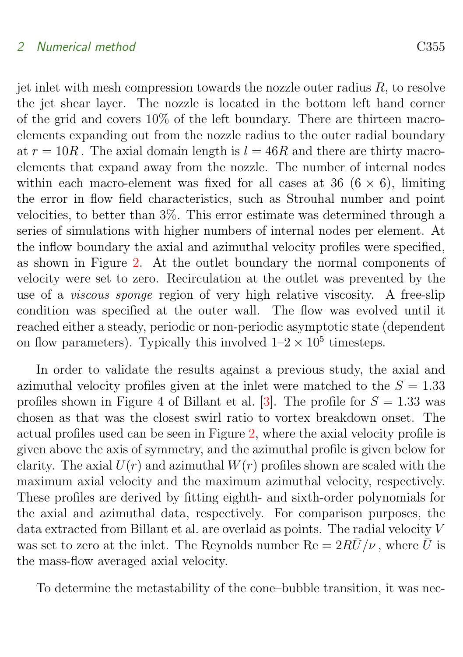#### <span id="page-4-0"></span>2 Numerical method C355

jet inlet with mesh compression towards the nozzle outer radius  $R$ , to resolve the jet shear layer. The nozzle is located in the bottom left hand corner of the grid and covers 10% of the left boundary. There are thirteen macroelements expanding out from the nozzle radius to the outer radial boundary at  $r = 10R$ . The axial domain length is  $l = 46R$  and there are thirty macroelements that expand away from the nozzle. The number of internal nodes within each macro-element was fixed for all cases at 36 ( $6 \times 6$ ), limiting the error in flow field characteristics, such as Strouhal number and point velocities, to better than 3%. This error estimate was determined through a series of simulations with higher numbers of internal nodes per element. At the inflow boundary the axial and azimuthal velocity profiles were specified, as shown in Figure [2.](#page-5-0) At the outlet boundary the normal components of velocity were set to zero. Recirculation at the outlet was prevented by the use of a viscous sponge region of very high relative viscosity. A free-slip condition was specified at the outer wall. The flow was evolved until it reached either a steady, periodic or non-periodic asymptotic state (dependent on flow parameters). Typically this involved  $1-2 \times 10^5$  timesteps.

In order to validate the results against a previous study, the axial and azimuthal velocity profiles given at the inlet were matched to the  $S = 1.33$ profiles shown in Figure 4 of Billant et al. [\[3\]](#page-12-5). The profile for  $S = 1.33$  was chosen as that was the closest swirl ratio to vortex breakdown onset. The actual profiles used can be seen in Figure [2,](#page-5-0) where the axial velocity profile is given above the axis of symmetry, and the azimuthal profile is given below for clarity. The axial  $U(r)$  and azimuthal  $W(r)$  profiles shown are scaled with the maximum axial velocity and the maximum azimuthal velocity, respectively. These profiles are derived by fitting eighth- and sixth-order polynomials for the axial and azimuthal data, respectively. For comparison purposes, the data extracted from Billant et al. are overlaid as points. The radial velocity V was set to zero at the inlet. The Reynolds number  $\text{Re} = 2R\bar{U}/\nu$ , where  $\bar{U}$  is the mass-flow averaged axial velocity.

To determine the metastability of the cone–bubble transition, it was nec-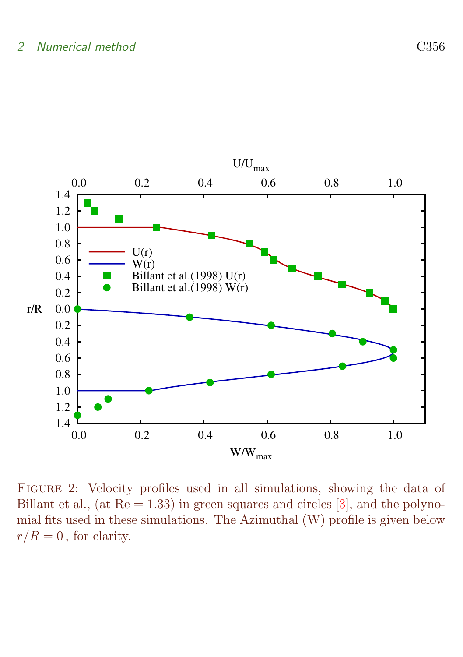#### <span id="page-5-1"></span>2 Numerical method C356



<span id="page-5-0"></span>Figure 2: Velocity profiles used in all simulations, showing the data of Billant et al., (at  $Re = 1.33$ ) in green squares and circles [\[3\]](#page-12-5), and the polynomial fits used in these simulations. The Azimuthal (W) profile is given below  $r/R = 0$ , for clarity.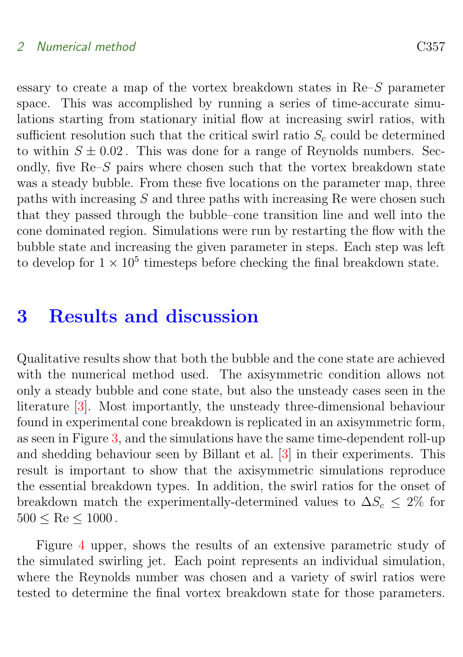### <span id="page-6-1"></span>2 Numerical method C357

essary to create a map of the vortex breakdown states in Re–S parameter space. This was accomplished by running a series of time-accurate simulations starting from stationary initial flow at increasing swirl ratios, with sufficient resolution such that the critical swirl ratio  $S_c$  could be determined to within  $S \pm 0.02$ . This was done for a range of Reynolds numbers. Secondly, five  $\text{Re}-S$  pairs where chosen such that the vortex breakdown state was a steady bubble. From these five locations on the parameter map, three paths with increasing  $S$  and three paths with increasing Re were chosen such that they passed through the bubble–cone transition line and well into the cone dominated region. Simulations were run by restarting the flow with the bubble state and increasing the given parameter in steps. Each step was left to develop for  $1 \times 10^5$  timesteps before checking the final breakdown state.

### <span id="page-6-0"></span>3 Results and discussion

Qualitative results show that both the bubble and the cone state are achieved with the numerical method used. The axisymmetric condition allows not only a steady bubble and cone state, but also the unsteady cases seen in the literature [\[3\]](#page-12-5). Most importantly, the unsteady three-dimensional behaviour found in experimental cone breakdown is replicated in an axisymmetric form, as seen in Figure [3,](#page-7-0) and the simulations have the same time-dependent roll-up and shedding behaviour seen by Billant et al. [\[3\]](#page-12-5) in their experiments. This result is important to show that the axisymmetric simulations reproduce the essential breakdown types. In addition, the swirl ratios for the onset of breakdown match the experimentally-determined values to  $\Delta S_c \leq 2\%$  for  $500 \leq Re \leq 1000$ .

Figure [4](#page-8-0) upper, shows the results of an extensive parametric study of the simulated swirling jet. Each point represents an individual simulation, where the Reynolds number was chosen and a variety of swirl ratios were tested to determine the final vortex breakdown state for those parameters.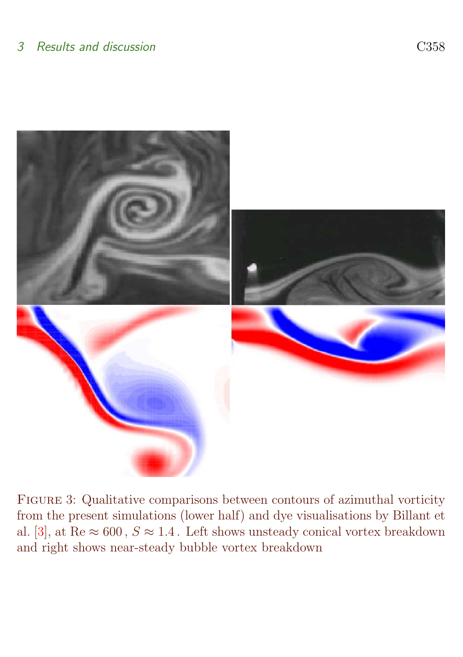<span id="page-7-1"></span><span id="page-7-0"></span>

Figure 3: Qualitative comparisons between contours of azimuthal vorticity from the present simulations (lower half) and dye visualisations by Billant et al. [\[3\]](#page-12-5), at Re  $\approx 600$ ,  $S \approx 1.4$ . Left shows unsteady conical vortex breakdown and right shows near-steady bubble vortex breakdown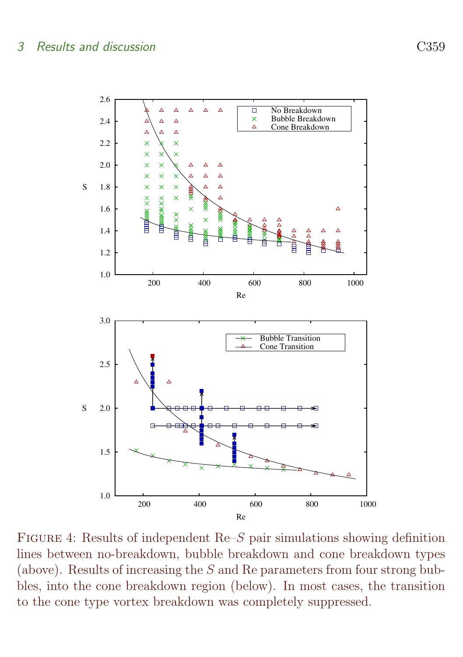

<span id="page-8-0"></span>FIGURE 4: Results of independent  $\text{Re}S$  pair simulations showing definition lines between no-breakdown, bubble breakdown and cone breakdown types (above). Results of increasing the S and Re parameters from four strong bubbles, into the cone breakdown region (below). In most cases, the transition to the cone type vortex breakdown was completely suppressed.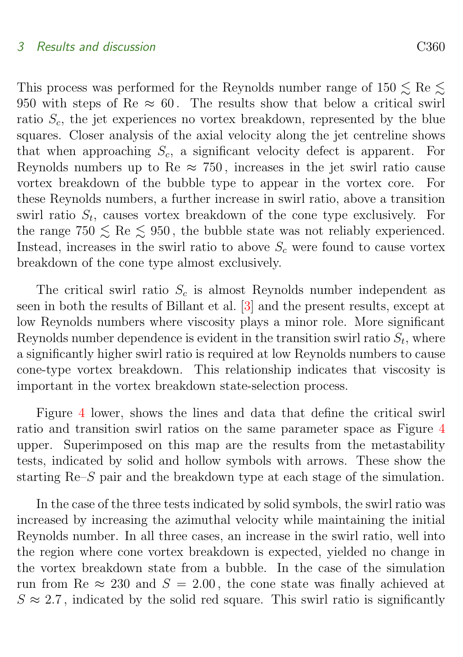#### <span id="page-9-0"></span>3 Results and discussion C360

This process was performed for the Reynolds number range of  $150 \lesssim \text{Re} \lesssim$ 950 with steps of Re  $\approx 60$ . The results show that below a critical swirl ratio  $S_c$ , the jet experiences no vortex breakdown, represented by the blue squares. Closer analysis of the axial velocity along the jet centreline shows that when approaching  $S_c$ , a significant velocity defect is apparent. For Reynolds numbers up to Re  $\approx$  750, increases in the jet swirl ratio cause vortex breakdown of the bubble type to appear in the vortex core. For these Reynolds numbers, a further increase in swirl ratio, above a transition swirl ratio  $S_t$ , causes vortex breakdown of the cone type exclusively. For the range  $750 \leq Re \leq 950$ , the bubble state was not reliably experienced. Instead, increases in the swirl ratio to above  $S_c$  were found to cause vortex breakdown of the cone type almost exclusively.

The critical swirl ratio  $S_c$  is almost Reynolds number independent as seen in both the results of Billant et al. [\[3\]](#page-12-5) and the present results, except at low Reynolds numbers where viscosity plays a minor role. More significant Reynolds number dependence is evident in the transition swirl ratio  $S_t$ , where a significantly higher swirl ratio is required at low Reynolds numbers to cause cone-type vortex breakdown. This relationship indicates that viscosity is important in the vortex breakdown state-selection process.

Figure [4](#page-8-0) lower, shows the lines and data that define the critical swirl ratio and transition swirl ratios on the same parameter space as Figure [4](#page-8-0) upper. Superimposed on this map are the results from the metastability tests, indicated by solid and hollow symbols with arrows. These show the starting Re–S pair and the breakdown type at each stage of the simulation.

In the case of the three tests indicated by solid symbols, the swirl ratio was increased by increasing the azimuthal velocity while maintaining the initial Reynolds number. In all three cases, an increase in the swirl ratio, well into the region where cone vortex breakdown is expected, yielded no change in the vortex breakdown state from a bubble. In the case of the simulation run from Re  $\approx 230$  and  $S = 2.00$ , the cone state was finally achieved at  $S \approx 2.7$ , indicated by the solid red square. This swirl ratio is significantly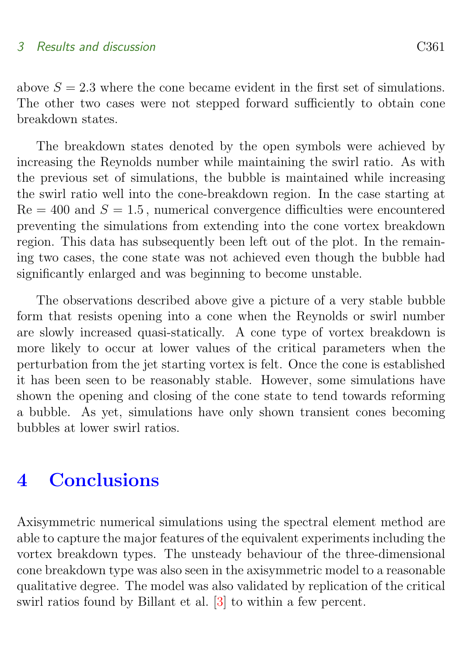<span id="page-10-1"></span>above  $S = 2.3$  where the cone became evident in the first set of simulations. The other two cases were not stepped forward sufficiently to obtain cone breakdown states.

The breakdown states denoted by the open symbols were achieved by increasing the Reynolds number while maintaining the swirl ratio. As with the previous set of simulations, the bubble is maintained while increasing the swirl ratio well into the cone-breakdown region. In the case starting at  $Re = 400$  and  $S = 1.5$ , numerical convergence difficulties were encountered preventing the simulations from extending into the cone vortex breakdown region. This data has subsequently been left out of the plot. In the remaining two cases, the cone state was not achieved even though the bubble had significantly enlarged and was beginning to become unstable.

The observations described above give a picture of a very stable bubble form that resists opening into a cone when the Reynolds or swirl number are slowly increased quasi-statically. A cone type of vortex breakdown is more likely to occur at lower values of the critical parameters when the perturbation from the jet starting vortex is felt. Once the cone is established it has been seen to be reasonably stable. However, some simulations have shown the opening and closing of the cone state to tend towards reforming a bubble. As yet, simulations have only shown transient cones becoming bubbles at lower swirl ratios.

## <span id="page-10-0"></span>4 Conclusions

Axisymmetric numerical simulations using the spectral element method are able to capture the major features of the equivalent experiments including the vortex breakdown types. The unsteady behaviour of the three-dimensional cone breakdown type was also seen in the axisymmetric model to a reasonable qualitative degree. The model was also validated by replication of the critical swirl ratios found by Billant et al. [\[3\]](#page-12-5) to within a few percent.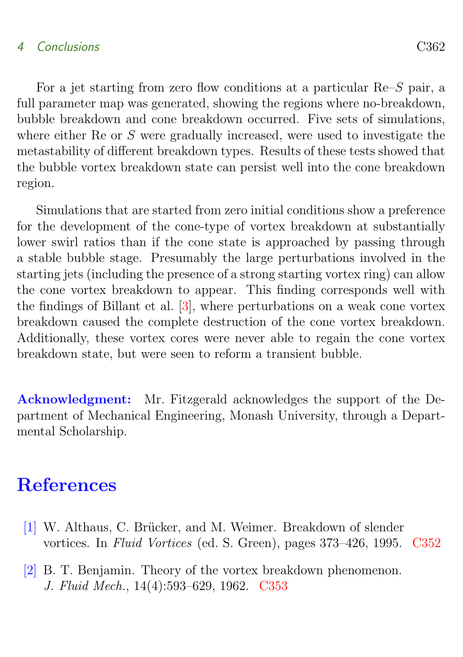### <span id="page-11-3"></span>4 Conclusions C362

For a jet starting from zero flow conditions at a particular Re–S pair, a full parameter map was generated, showing the regions where no-breakdown, bubble breakdown and cone breakdown occurred. Five sets of simulations, where either Re or S were gradually increased, were used to investigate the metastability of different breakdown types. Results of these tests showed that the bubble vortex breakdown state can persist well into the cone breakdown region.

Simulations that are started from zero initial conditions show a preference for the development of the cone-type of vortex breakdown at substantially lower swirl ratios than if the cone state is approached by passing through a stable bubble stage. Presumably the large perturbations involved in the starting jets (including the presence of a strong starting vortex ring) can allow the cone vortex breakdown to appear. This finding corresponds well with the findings of Billant et al. [\[3\]](#page-12-5), where perturbations on a weak cone vortex breakdown caused the complete destruction of the cone vortex breakdown. Additionally, these vortex cores were never able to regain the cone vortex breakdown state, but were seen to reform a transient bubble.

Acknowledgment: Mr. Fitzgerald acknowledges the support of the Department of Mechanical Engineering, Monash University, through a Departmental Scholarship.

# **References**

- <span id="page-11-1"></span><span id="page-11-0"></span>[1] W. Althaus, C. Brücker, and M. Weimer. Breakdown of slender vortices. In Fluid Vortices (ed. S. Green), pages 373–426, 1995. [C352](#page-1-1)
- <span id="page-11-2"></span>[2] B. T. Benjamin. Theory of the vortex breakdown phenomenon. J. Fluid Mech., 14(4):593–629, 1962. [C353](#page-2-0)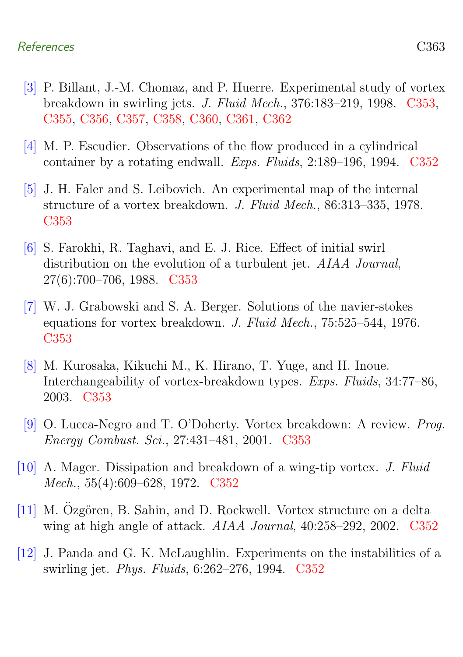- <span id="page-12-5"></span>[3] P. Billant, J.-M. Chomaz, and P. Huerre. Experimental study of vortex breakdown in swirling jets. J. Fluid Mech., 376:183–219, 1998. [C353,](#page-2-0) [C355,](#page-4-0) [C356,](#page-5-1) [C357,](#page-6-1) [C358,](#page-7-1) [C360,](#page-9-0) [C361,](#page-10-1) [C362](#page-11-3)
- <span id="page-12-0"></span>[4] M. P. Escudier. Observations of the flow produced in a cylindrical container by a rotating endwall. Exps. Fluids, 2:189–196, 1994. [C352](#page-1-1)
- <span id="page-12-4"></span>[5] J. H. Faler and S. Leibovich. An experimental map of the internal structure of a vortex breakdown. J. Fluid Mech., 86:313–335, 1978. [C353](#page-2-0)
- <span id="page-12-7"></span>[6] S. Farokhi, R. Taghavi, and E. J. Rice. Effect of initial swirl distribution on the evolution of a turbulent jet. AIAA Journal, 27(6):700–706, 1988. [C353](#page-2-0)
- <span id="page-12-8"></span>[7] W. J. Grabowski and S. A. Berger. Solutions of the navier-stokes equations for vortex breakdown. J. Fluid Mech., 75:525–544, 1976. [C353](#page-2-0)
- <span id="page-12-9"></span>[8] M. Kurosaka, Kikuchi M., K. Hirano, T. Yuge, and H. Inoue. Interchangeability of vortex-breakdown types. Exps. Fluids, 34:77–86, 2003. [C353](#page-2-0)
- <span id="page-12-6"></span>[9] O. Lucca-Negro and T. O'Doherty. Vortex breakdown: A review. Prog. Energy Combust. Sci., 27:431–481, 2001. [C353](#page-2-0)
- <span id="page-12-2"></span>[10] A. Mager. Dissipation and breakdown of a wing-tip vortex. J. Fluid Mech., 55(4):609–628, 1972. [C352](#page-1-1)
- <span id="page-12-1"></span> $[11]$  M. Ozgören, B. Sahin, and D. Rockwell. Vortex structure on a delta wing at high angle of attack. AIAA Journal, 40:258–292, 2002. [C352](#page-1-1)
- <span id="page-12-3"></span>[12] J. Panda and G. K. McLaughlin. Experiments on the instabilities of a swirling jet. Phys. Fluids, 6:262–276, 1994. [C352](#page-1-1)